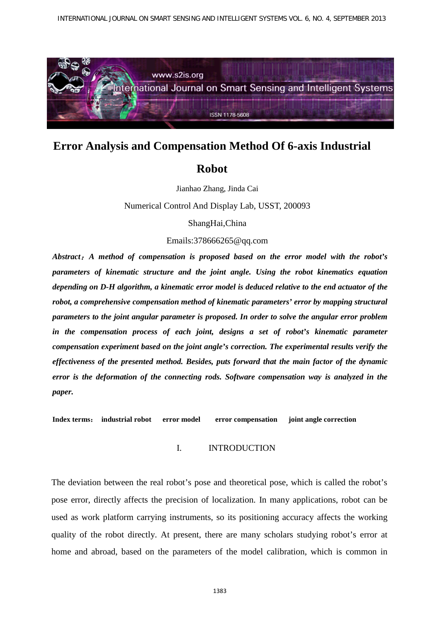

# **Error Analysis and Compensation Method Of 6-axis Industrial**

## **Robot**

Jianhao Zhang, Jinda Cai

Numerical Control And Display Lab, USST, 200093

ShangHai,China

## Emails:378666265@qq.com

*Abstract*:*A method of compensation is proposed based on the error model with the robot's parameters of kinematic structure and the joint angle. Using the robot kinematics equation depending on D-H algorithm, a kinematic error model is deduced relative to the end actuator of the robot, a comprehensive compensation method of kinematic parameters' error by mapping structural parameters to the joint angular parameter is proposed. In order to solve the angular error problem in the compensation process of each joint, designs a set of robot's kinematic parameter compensation experiment based on the joint angle's correction. The experimental results verify the effectiveness of the presented method. Besides, puts forward that the main factor of the dynamic error is the deformation of the connecting rods. Software compensation way is analyzed in the paper.*

**Index terms**: **industrial robot error model error compensation joint angle correction**

## I. INTRODUCTION

The deviation between the real robot's pose and theoretical pose, which is called the robot's pose error, directly affects the precision of localization. In many applications, robot can be used as work platform carrying instruments, so its positioning accuracy affects the working quality of the robot directly. At present, there are many scholars studying robot's error at home and abroad, based on the parameters of the model calibration, which is common in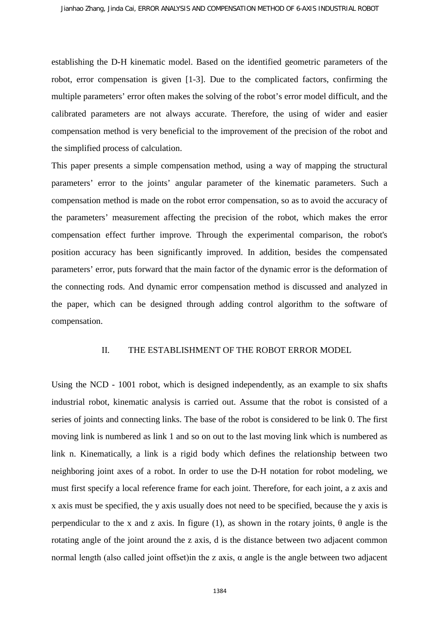establishing the D-H kinematic model. Based on the identified geometric parameters of the robot, error compensation is given [1-3]. Due to the complicated factors, confirming the multiple parameters' error often makes the solving of the robot's error model difficult, and the calibrated parameters are not always accurate. Therefore, the using of wider and easier compensation method is very beneficial to the improvement of the precision of the robot and the simplified process of calculation.

This paper presents a simple compensation method, using a way of mapping the structural parameters' error to the joints' angular parameter of the kinematic parameters. Such a compensation method is made on the robot error compensation, so as to avoid the accuracy of the parameters' measurement affecting the precision of the robot, which makes the error compensation effect further improve. Through the experimental comparison, the robot's position accuracy has been significantly improved. In addition, besides the compensated parameters' error, puts forward that the main factor of the dynamic error is the deformation of the connecting rods. And dynamic error compensation method is discussed and analyzed in the paper, which can be designed through adding control algorithm to the software of compensation.

#### II. THE ESTABLISHMENT OF THE ROBOT ERROR MODEL

Using the NCD - 1001 robot, which is designed independently, as an example to six shafts industrial robot, kinematic analysis is carried out. Assume that the robot is consisted of a series of joints and connecting links. The base of the robot is considered to be link 0. The first moving link is numbered as link 1 and so on out to the last moving link which is numbered as link n. Kinematically, a link is a rigid body which defines the relationship between two neighboring joint axes of a robot. In order to use the D-H notation for robot modeling, we must first specify a local reference frame for each joint. Therefore, for each joint, a z axis and x axis must be specified, the y axis usually does not need to be specified, because the y axis is perpendicular to the x and z axis. In figure (1), as shown in the rotary joints, θ angle is the rotating angle of the joint around the z axis, d is the distance between two adjacent common normal length (also called joint offset) in the z axis,  $α$  angle is the angle between two adjacent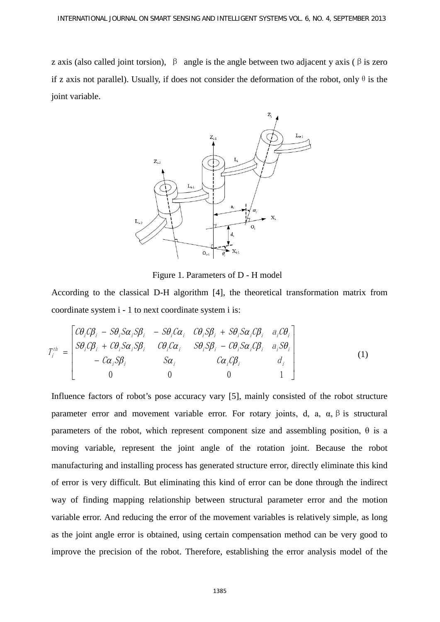z axis (also called joint torsion),  $\beta$  angle is the angle between two adjacent y axis ( $\beta$  is zero if z axis not parallel). Usually, if does not consider the deformation of the robot, only  $\theta$  is the joint variable.



Figure 1. Parameters of D - H model

According to the classical D-H algorithm [4], the theoretical transformation matrix from coordinate system i - 1 to next coordinate system i is:

$$
T_i^{th} = \begin{bmatrix} C\theta_i C\beta_i - S\theta_i S\alpha_i S\beta_i & -S\theta_i C\alpha_i & C\theta_i S\beta_i + S\theta_i S\alpha_i C\beta_i & a_i C\theta_i \\ S\theta_i C\beta_i + C\theta_i S\alpha_i S\beta_i & C\theta_i C\alpha_i & S\theta_i S\beta_i - C\theta_i S\alpha_i C\beta_i & a_i S\theta_i \\ -C\alpha_i S\beta_i & S\alpha_i & C\alpha_i C\beta_i & d_i \\ 0 & 0 & 0 & 1 \end{bmatrix}
$$
(1)

Influence factors of robot's pose accuracy vary [5], mainly consisted of the robot structure parameter error and movement variable error. For rotary joints, d, a,  $\alpha$ ,  $\beta$  is structural parameters of the robot, which represent component size and assembling position,  $\theta$  is a moving variable, represent the joint angle of the rotation joint. Because the robot manufacturing and installing process has generated structure error, directly eliminate this kind of error is very difficult. But eliminating this kind of error can be done through the indirect way of finding mapping relationship between structural parameter error and the motion variable error. And reducing the error of the movement variables is relatively simple, as long as the joint angle error is obtained, using certain compensation method can be very good to improve the precision of the robot. Therefore, establishing the error analysis model of the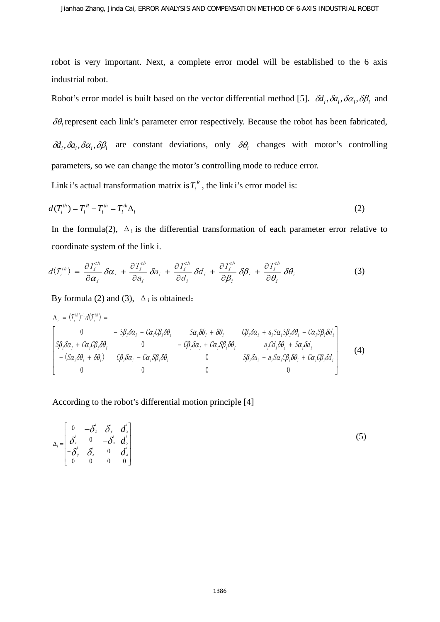robot is very important. Next, a complete error model will be established to the 6 axis industrial robot.

Robot's error model is built based on the vector differential method [5].  $\delta d_i$ ,  $\delta a_i$ ,  $\delta \alpha_i$ ,  $\delta \beta_i$  and δθ*<sup>i</sup>* represent each link's parameter error respectively. Because the robot has been fabricated,  $\delta d_i$ ,  $\delta a_i$ ,  $\delta \alpha_i$ ,  $\delta \beta_i$  are constant deviations, only  $\delta \theta_i$  changes with motor's controlling parameters, so we can change the motor's controlling mode to reduce error.

Link i's actual transformation matrix is  $T_i^R$ , the link i's error model is:

$$
d(T_i^{th}) = T_i^R - T_i^{th} = T_i^{th} \Delta_i
$$
\n<sup>(2)</sup>

In the formula(2),  $\Delta_i$  is the differential transformation of each parameter error relative to coordinate system of the link i.

$$
d(T_i^{th}) = \frac{\partial T_i^{th}}{\partial \alpha_i} \delta \alpha_i + \frac{\partial T_i^{th}}{\partial a_i} \delta a_i + \frac{\partial T_i^{th}}{\partial d_i} \delta d_i + \frac{\partial T_i^{th}}{\partial \beta_i} \delta \beta_i + \frac{\partial T_i^{th}}{\partial \theta_i} \delta \theta_i
$$
 (3)

By formula (2) and (3),  $\Delta_i$  is obtained:

$$
\Delta_{i} = (T_{i}^{th})^{-1} d(T_{i}^{th}) =
$$
\n
$$
\begin{bmatrix}\n0 & -S\beta_{i} \delta \alpha_{i} - C\alpha_{i} C\beta_{i} \delta \theta_{i} & S\alpha_{i} \delta \theta_{i} + \delta \theta_{i} & C\beta_{i} \delta \alpha_{i} + a_{i} S\alpha_{i} S\beta_{i} \delta \theta_{i} - C\alpha_{i} S\beta_{i} \delta d_{i} \\
S\beta_{i} \delta \alpha_{i} + C\alpha_{i} C\beta_{i} \delta \theta_{i} & 0 & -C\beta_{i} \delta \alpha_{i} + C\alpha_{i} S\beta_{i} \delta \theta_{i} & a_{i} C\alpha_{i} \delta \theta_{i} + S\alpha_{i} \delta \theta_{i} \\
-(S\alpha_{i} \delta \theta_{i} + \delta \theta_{i}) & C\beta_{i} \delta \alpha_{i} - C\alpha_{i} S\beta_{i} \delta \theta_{i} & 0 & S\beta_{i} \delta \alpha_{i} - a_{i} S\alpha_{i} C\beta_{i} \delta \theta_{i} + C\alpha_{i} C\beta_{i} \delta \theta_{i}\n\end{bmatrix}
$$
\n(4)

According to the robot's differential motion principle [4]

$$
\Delta_i = \begin{bmatrix}\n0 & -\delta_z^i & \delta_y^i & d_x^i \\
\delta_z^i & 0 & -\delta_x^i & d_y^i \\
-\delta_y^i & \delta_x^i & 0 & d_z^i \\
0 & 0 & 0 & 0\n\end{bmatrix}
$$
\n(5)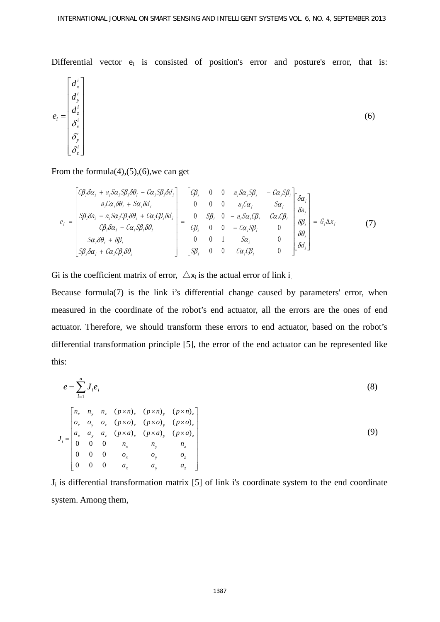Differential vector  $e_i$  is consisted of position's error and posture's error, that is:

$$
e_i = \begin{bmatrix} d_x^i \\ d_y^i \\ \delta_x^i \\ \delta_y^i \\ \delta_z^i \end{bmatrix}
$$
 (6)

From the formula(4),(5),(6),we can get

$$
e_{i} = \begin{bmatrix} C\beta_{i}\delta\alpha_{i} + a_{i}S\alpha_{i}S\beta_{i}\delta\theta_{i} - C\alpha_{i}S\beta_{i}\delta d_{i} \\ a_{i}C\alpha_{i}\delta\theta_{i} + S\alpha_{i}\delta\theta_{i} \\ S\beta_{i}\delta\alpha_{i} - a_{i}S\alpha_{i}C\beta_{i}\delta\theta_{i} + C\alpha_{i}C\beta_{i}\delta\theta_{i} \\ C\beta_{i}\delta\alpha_{i} - C\alpha_{i}S\beta_{i}\delta\theta_{i} \end{bmatrix} = \begin{bmatrix} C\beta_{i} & 0 & 0 & a_{i}S\alpha_{i}S\beta_{i} & -C\alpha_{i}S\beta_{i} \\ 0 & 0 & a_{i}C\alpha_{i} & S\alpha_{i} \\ 0 & S\beta_{i} & 0 & -a_{i}S\alpha_{i}C\beta_{i} & C\alpha_{i}C\beta_{i} \\ C\beta_{i} & 0 & 0 & -C\alpha_{i}S\beta_{i} & 0 \\ 0 & 0 & 1 & S\alpha_{i} & 0 \\ 0 & 0 & 1 & S\alpha_{i} & 0 \\ S\beta_{i}\delta\alpha_{i} + C\alpha_{i}C\beta_{i}\delta\theta_{i} \end{bmatrix} = G_{i}\Delta x_{i}
$$
(7)

Gi is the coefficient matrix of error,  $\Delta x_i$  is the actual error of link i.

Because formula(7) is the link i's differential change caused by parameters' error, when measured in the coordinate of the robot's end actuator, all the errors are the ones of end actuator. Therefore, we should transform these errors to end actuator, based on the robot's differential transformation principle [5], the error of the end actuator can be represented like this:

$$
e = \sum_{i=1}^{n} J_i e_i
$$
\n
$$
J_i = \begin{bmatrix}\nn_x & n_y & n_z & (p \times n)_x & (p \times n)_y & (p \times n)_z \\
o_x & o_y & o_z & (p \times o)_x & (p \times o)_y & (p \times o)_z \\
a_x & a_y & a_z & (p \times a)_x & (p \times a)_y & (p \times a)_z \\
0 & 0 & 0 & n_x & n_y & n_z \\
0 & 0 & 0 & o_x & o_y & o_z \\
0 & 0 & 0 & a_x & a_y & a_z\n\end{bmatrix}
$$
\n(8)

 $J_i$  is differential transformation matrix [5] of link i's coordinate system to the end coordinate system. Among them,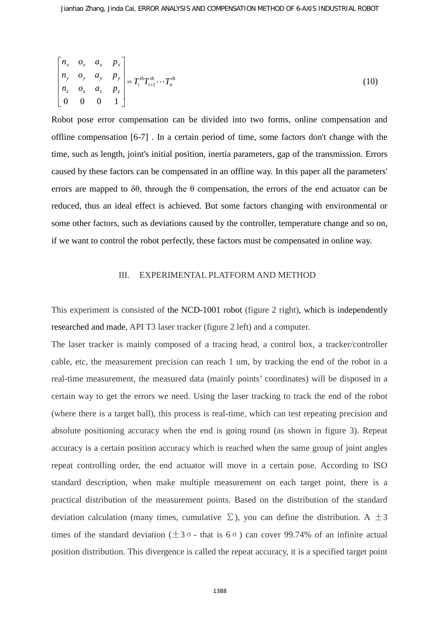$$
\begin{bmatrix} n_x & o_x & a_x & p_x \\ n_y & o_y & a_y & p_y \\ n_z & o_z & a_z & p_z \\ 0 & 0 & 0 & 1 \end{bmatrix} = T_i^{th} T_{i+1}^{th} \cdots T_n^{th}
$$
 (10)

Robot pose error compensation can be divided into two forms, online compensation and offline compensation [6-7] . In a certain period of time, some factors don't change with the time, such as length, joint's initial position, inertia parameters, gap of the transmission. Errors caused by these factors can be compensated in an offline way. In this paper all the parameters' errors are mapped to  $\delta\theta$ , through the  $\theta$  compensation, the errors of the end actuator can be reduced, thus an ideal effect is achieved. But some factors changing with environmental or some other factors, such as deviations caused by the controller, temperature change and so on, if we want to control the robot perfectly, these factors must be compensated in online way.

#### III. EXPERIMENTAL PLATFORM AND METHOD

This experiment is consisted of the NCD-1001 robot (figure 2 right), which is independently researched and made, API T3 laser tracker (figure 2 left) and a computer.

The laser tracker is mainly composed of a tracing head, a control box, a tracker/controller cable, etc, the measurement precision can reach 1 um, by tracking the end of the robot in a real-time measurement, the measured data (mainly points' coordinates) will be disposed in a certain way to get the errors we need. Using the laser tracking to track the end of the robot (where there is a target ball), this process is real-time, which can test repeating precision and absolute positioning accuracy when the end is going round (as shown in figure 3). Repeat accuracy is a certain position accuracy which is reached when the same group of joint angles repeat controlling order, the end actuator will move in a certain pose. According to ISO standard description, when make multiple measurement on each target point, there is a practical distribution of the measurement points. Based on the distribution of the standard deviation calculation (many times, cumulative  $\Sigma$ ), you can define the distribution. A  $\pm 3$ times of the standard deviation ( $\pm 3$ σ - that is 6  $\sigma$ ) can cover 99.74% of an infinite actual position distribution. This divergence is called the repeat accuracy, it is a specified target point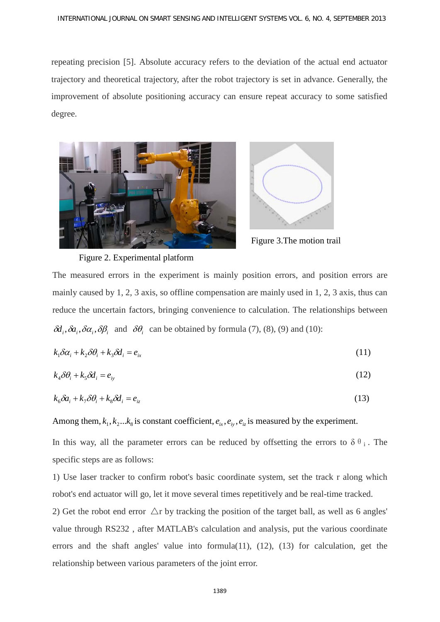repeating precision [5]. Absolute accuracy refers to the deviation of the actual end actuator trajectory and theoretical trajectory, after the robot trajectory is set in advance. Generally, the improvement of absolute positioning accuracy can ensure repeat accuracy to some satisfied degree.





Figure 3.The motion trail

Figure 2. Experimental platform

The measured errors in the experiment is mainly position errors, and position errors are mainly caused by 1, 2, 3 axis, so offline compensation are mainly used in 1, 2, 3 axis, thus can reduce the uncertain factors, bringing convenience to calculation. The relationships between  $\delta d_i$ ,  $\delta a_i$ ,  $\delta \alpha_i$ ,  $\delta \beta_i$  and  $\delta \theta_i$  can be obtained by formula (7), (8), (9) and (10):

$$
k_1 \delta \alpha_i + k_2 \delta \theta_i + k_3 \delta \dot{\theta}_i = e_{ix}
$$
\n<sup>(11)</sup>

$$
k_4 \delta \theta_i + k_5 \delta d_i = e_{ij} \tag{12}
$$

$$
k_6 \delta a_i + k_7 \delta \theta_i + k_8 \delta d_i = e_{iz} \tag{13}
$$

Among them,  $k_1, k_2, \ldots, k_k$  is constant coefficient,  $e_i, e_i, e_i$  is measured by the experiment.

In this way, all the parameter errors can be reduced by offsetting the errors to  $\delta \theta_i$ . The specific steps are as follows:

1) Use laser tracker to confirm robot's basic coordinate system, set the track r along which robot's end actuator will go, let it move several times repetitively and be real-time tracked.

2) Get the robot end error  $\Delta r$  by tracking the position of the target ball, as well as 6 angles' value through RS232 , after MATLAB's calculation and analysis, put the various coordinate errors and the shaft angles' value into formula(11), (12), (13) for calculation, get the relationship between various parameters of the joint error.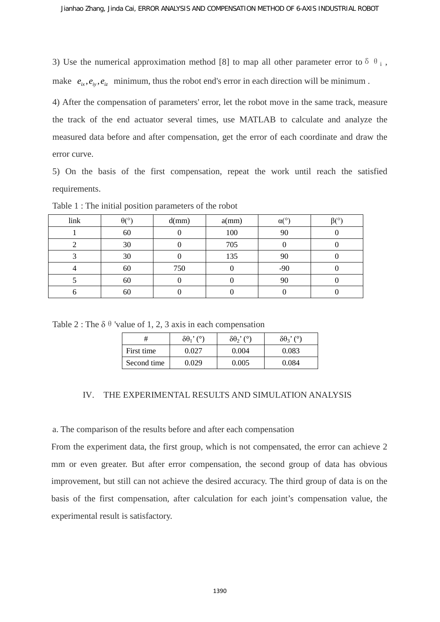3) Use the numerical approximation method [8] to map all other parameter error to  $\delta \theta_i$ , make  $e_i, e_i, e_i$  minimum, thus the robot end's error in each direction will be minimum.

4) After the compensation of parameters' error, let the robot move in the same track, measure the track of the end actuator several times, use MATLAB to calculate and analyze the measured data before and after compensation, get the error of each coordinate and draw the error curve.

5) On the basis of the first compensation, repeat the work until reach the satisfied requirements.

| link | $\theta$ <sup>(<math>\circ</math></sup> ) | d(mm) | a(mm) | $\alpha$ (° | $\beta$ <sup>(<math>\circ</math></sup> ) |
|------|-------------------------------------------|-------|-------|-------------|------------------------------------------|
|      | 60                                        |       | 100   | 90          |                                          |
|      | 30                                        |       | 705   |             |                                          |
|      | 30                                        |       | 135   | 90          |                                          |
|      | 60                                        | 750   |       | $-90$       |                                          |
|      | 60                                        |       |       | 90          |                                          |
|      | 60                                        |       |       |             |                                          |

Table 1 : The initial position parameters of the robot

Table 2 : The  $\delta \theta$  'value of 1, 2, 3 axis in each compensation

| ♯           | $\delta\theta_1$ ' (°) | $\delta\theta$ <sup>2</sup> ( $\delta$ ) | $\delta\theta_3$ ' (°) |  |
|-------------|------------------------|------------------------------------------|------------------------|--|
| First time  | ገ በ27                  | 0.004                                    | 0.083                  |  |
| Second time | ባ በ29                  | 0.005                                    | 0.084                  |  |

## IV. THE EXPERIMENTAL RESULTS AND SIMULATION ANALYSIS

a. The comparison of the results before and after each compensation

From the experiment data, the first group, which is not compensated, the error can achieve 2 mm or even greater. But after error compensation, the second group of data has obvious improvement, but still can not achieve the desired accuracy. The third group of data is on the basis of the first compensation, after calculation for each joint's compensation value, the experimental result is satisfactory.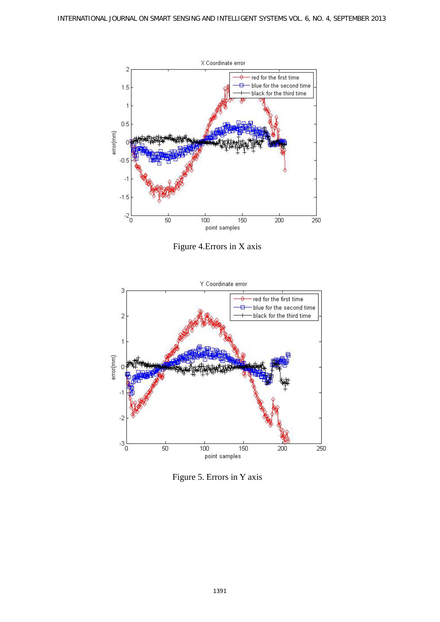

Figure 4.Errors in X axis



Figure 5. Errors in Y axis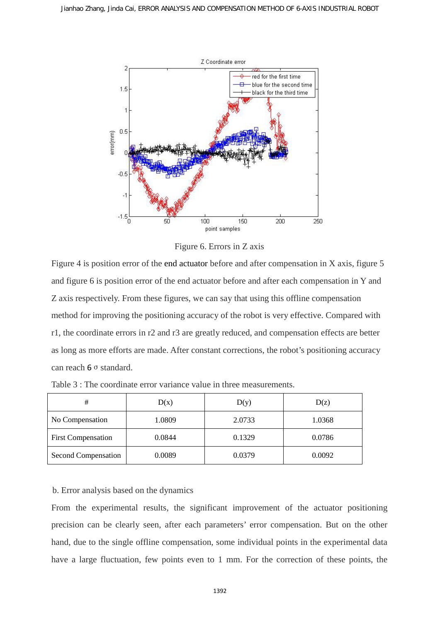

Figure 6. Errors in Z axis

Figure 4 is position error of the end actuator before and after compensation in X axis, figure 5 and figure 6 is position error of the end actuator before and after each compensation in Y and Z axis respectively. From these figures, we can say that using this offline compensation method for improving the positioning accuracy of the robot is very effective. Compared with r1, the coordinate errors in r2 and r3 are greatly reduced, and compensation effects are better as long as more efforts are made. After constant corrections, the robot's positioning accuracy can reach 6 σ standard.

| #                         | D(x)   | D(y)   | D(z)   |  |
|---------------------------|--------|--------|--------|--|
| No Compensation           | 1.0809 | 2.0733 | 1.0368 |  |
| <b>First Compensation</b> | 0.0844 | 0.1329 | 0.0786 |  |
| Second Compensation       | 0.0089 | 0.0379 | 0.0092 |  |

Table 3 : The coordinate error variance value in three measurements.

b. Error analysis based on the dynamics

From the experimental results, the significant improvement of the actuator positioning precision can be clearly seen, after each parameters' error compensation. But on the other hand, due to the single offline compensation, some individual points in the experimental data have a large fluctuation, few points even to 1 mm. For the correction of these points, the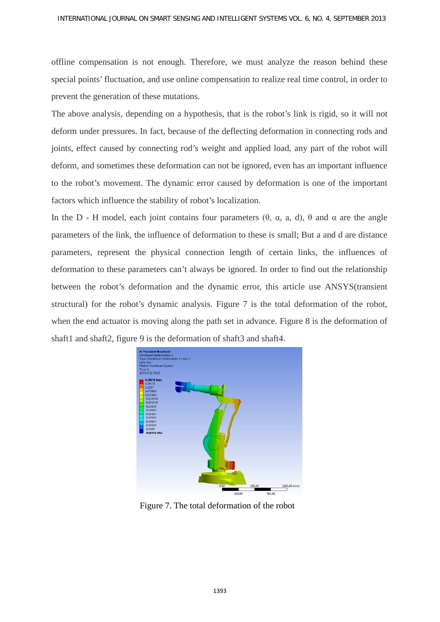offline compensation is not enough. Therefore, we must analyze the reason behind these special points' fluctuation, and use online compensation to realize real time control, in order to prevent the generation of these mutations.

The above analysis, depending on a hypothesis, that is the robot's link is rigid, so it will not deform under pressures. In fact, because of the deflecting deformation in connecting rods and joints, effect caused by connecting rod's weight and applied load, any part of the robot will deform, and sometimes these deformation can not be ignored, even has an important influence to the robot's movement. The dynamic error caused by deformation is one of the important factors which influence the stability of robot's localization.

In the D - H model, each joint contains four parameters  $(θ, α, a, d)$ ,  $θ$  and  $α$  are the angle parameters of the link, the influence of deformation to these is small; But a and d are distance parameters, represent the physical connection length of certain links, the influences of deformation to these parameters can't always be ignored. In order to find out the relationship between the robot's deformation and the dynamic error, this article use ANSYS(transient structural) for the robot's dynamic analysis. Figure 7 is the total deformation of the robot, when the end actuator is moving along the path set in advance. Figure 8 is the deformation of shaft1 and shaft2, figure 9 is the deformation of shaft3 and shaft4.



Figure 7. The total deformation of the robot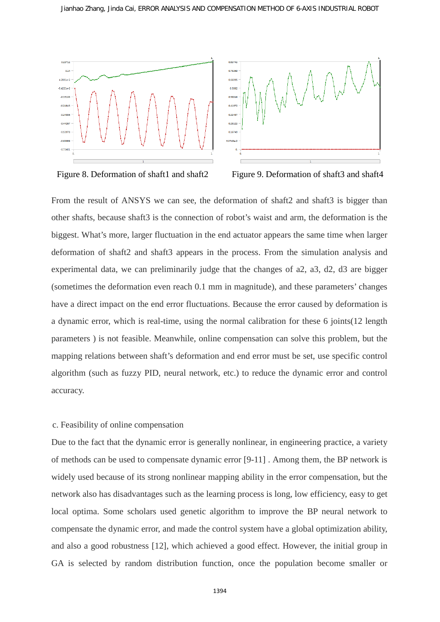



Figure 8. Deformation of shaft1 and shaft2 Figure 9. Deformation of shaft3 and shaft4

From the result of ANSYS we can see, the deformation of shaft2 and shaft3 is bigger than other shafts, because shaft3 is the connection of robot's waist and arm, the deformation is the biggest. What's more, larger fluctuation in the end actuator appears the same time when larger deformation of shaft2 and shaft3 appears in the process. From the simulation analysis and experimental data, we can preliminarily judge that the changes of a2, a3, d2, d3 are bigger (sometimes the deformation even reach 0.1 mm in magnitude), and these parameters' changes have a direct impact on the end error fluctuations. Because the error caused by deformation is a dynamic error, which is real-time, using the normal calibration for these 6 joints(12 length parameters ) is not feasible. Meanwhile, online compensation can solve this problem, but the mapping relations between shaft's deformation and end error must be set, use specific control algorithm (such as fuzzy PID, neural network, etc.) to reduce the dynamic error and control accuracy.

### c. Feasibility of online compensation

Due to the fact that the dynamic error is generally nonlinear, in engineering practice, a variety of methods can be used to compensate dynamic error [9-11] . Among them, the BP network is widely used because of its strong nonlinear mapping ability in the error compensation, but the network also has disadvantages such as the learning process is long, low efficiency, easy to get local optima. Some scholars used genetic algorithm to improve the BP neural network to compensate the dynamic error, and made the control system have a global optimization ability, and also a good robustness [12], which achieved a good effect. However, the initial group in GA is selected by random distribution function, once the population become smaller or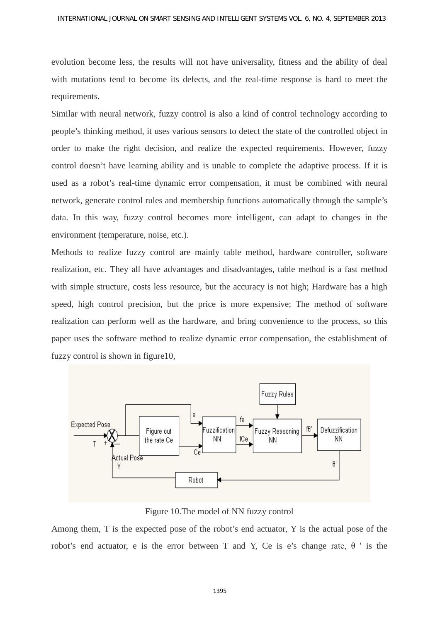evolution become less, the results will not have universality, fitness and the ability of deal with mutations tend to become its defects, and the real-time response is hard to meet the requirements.

Similar with neural network, fuzzy control is also a kind of control technology according to people's thinking method, it uses various sensors to detect the state of the controlled object in order to make the right decision, and realize the expected requirements. However, fuzzy control doesn't have learning ability and is unable to complete the adaptive process. If it is used as a robot's real-time dynamic error compensation, it must be combined with neural network, generate control rules and membership functions automatically through the sample's data. In this way, fuzzy control becomes more intelligent, can adapt to changes in the environment (temperature, noise, etc.).

Methods to realize fuzzy control are mainly table method, hardware controller, software realization, etc. They all have advantages and disadvantages, table method is a fast method with simple structure, costs less resource, but the accuracy is not high; Hardware has a high speed, high control precision, but the price is more expensive; The method of software realization can perform well as the hardware, and bring convenience to the process, so this paper uses the software method to realize dynamic error compensation, the establishment of fuzzy control is shown in figure10,



Figure 10.The model of NN fuzzy control

Among them, T is the expected pose of the robot's end actuator, Y is the actual pose of the robot's end actuator, e is the error between T and Y, Ce is e's change rate, θ ' is the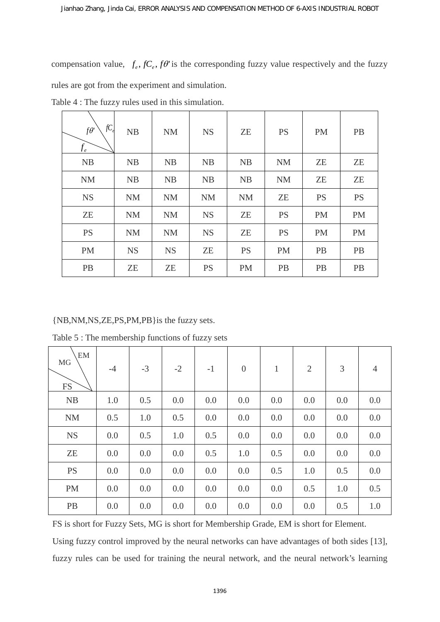compensation value,  $f_e$ ,  $fC_e$ ,  $f\theta$  is the corresponding fuzzy value respectively and the fuzzy rules are got from the experiment and simulation.

| fC<br>$f\theta$<br>$f_e$ | NB        | <b>NM</b> | <b>NS</b> | ZE        | <b>PS</b> | <b>PM</b> | <b>PB</b> |
|--------------------------|-----------|-----------|-----------|-----------|-----------|-----------|-----------|
| <b>NB</b>                | <b>NB</b> | <b>NB</b> | <b>NB</b> | <b>NB</b> | <b>NM</b> | ZE        | <b>ZE</b> |
| <b>NM</b>                | NB        | <b>NB</b> | <b>NB</b> | <b>NB</b> | <b>NM</b> | ZE        | <b>ZE</b> |
| <b>NS</b>                | <b>NM</b> | <b>NM</b> | <b>NM</b> | <b>NM</b> | <b>ZE</b> | <b>PS</b> | <b>PS</b> |
| <b>ZE</b>                | <b>NM</b> | <b>NM</b> | <b>NS</b> | ZE        | <b>PS</b> | <b>PM</b> | <b>PM</b> |
| <b>PS</b>                | <b>NM</b> | <b>NM</b> | <b>NS</b> | <b>ZE</b> | <b>PS</b> | <b>PM</b> | <b>PM</b> |
| <b>PM</b>                | <b>NS</b> | <b>NS</b> | ZE        | <b>PS</b> | <b>PM</b> | <b>PB</b> | PB        |
| PB                       | ZE        | ZE        | <b>PS</b> | <b>PM</b> | <b>PB</b> | <b>PB</b> | PB        |

Table 4 : The fuzzy rules used in this simulation.

## {NB,NM,NS,ZE,PS,PM,PB}is the fuzzy sets.

Table 5 : The membership functions of fuzzy sets

| EM<br>MG<br><b>FS</b> | $-4$ | $-3$ | $-2$ | $-1$ | $\overline{0}$ | $\mathbf{1}$ | $\overline{2}$ | 3   | 4   |
|-----------------------|------|------|------|------|----------------|--------------|----------------|-----|-----|
| <b>NB</b>             | 1.0  | 0.5  | 0.0  | 0.0  | 0.0            | 0.0          | 0.0            | 0.0 | 0.0 |
| <b>NM</b>             | 0.5  | 1.0  | 0.5  | 0.0  | 0.0            | 0.0          | 0.0            | 0.0 | 0.0 |
| <b>NS</b>             | 0.0  | 0.5  | 1.0  | 0.5  | 0.0            | 0.0          | 0.0            | 0.0 | 0.0 |
| ZE                    | 0.0  | 0.0  | 0.0  | 0.5  | 1.0            | 0.5          | 0.0            | 0.0 | 0.0 |
| <b>PS</b>             | 0.0  | 0.0  | 0.0  | 0.0  | 0.0            | 0.5          | 1.0            | 0.5 | 0.0 |
| <b>PM</b>             | 0.0  | 0.0  | 0.0  | 0.0  | 0.0            | 0.0          | 0.5            | 1.0 | 0.5 |
| PB                    | 0.0  | 0.0  | 0.0  | 0.0  | 0.0            | 0.0          | 0.0            | 0.5 | 1.0 |

FS is short for Fuzzy Sets, MG is short for Membership Grade, EM is short for Element.

Using fuzzy control improved by the neural networks can have advantages of both sides [13], fuzzy rules can be used for training the neural network, and the neural network's learning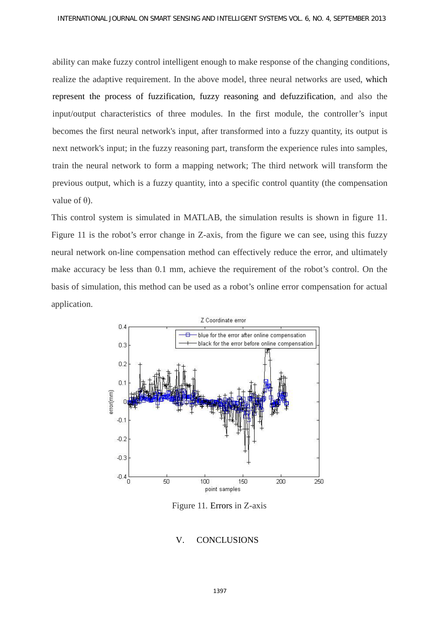ability can make fuzzy control intelligent enough to make response of the changing conditions, realize the adaptive requirement. In the above model, three neural networks are used, which represent the process of fuzzification, fuzzy reasoning and defuzzification, and also the input/output characteristics of three modules. In the first module, the controller's input becomes the first neural network's input, after transformed into a fuzzy quantity, its output is next network's input; in the fuzzy reasoning part, transform the experience rules into samples, train the neural network to form a mapping network; The third network will transform the previous output, which is a fuzzy quantity, into a specific control quantity (the compensation value of  $θ$ ).

This control system is simulated in MATLAB, the simulation results is shown in figure 11. Figure 11 is the robot's error change in Z-axis, from the figure we can see, using this fuzzy neural network on-line compensation method can effectively reduce the error, and ultimately make accuracy be less than 0.1 mm, achieve the requirement of the robot's control. On the basis of simulation, this method can be used as a robot's online error compensation for actual application.



Figure 11. Errors in Z-axis

### V. CONCLUSIONS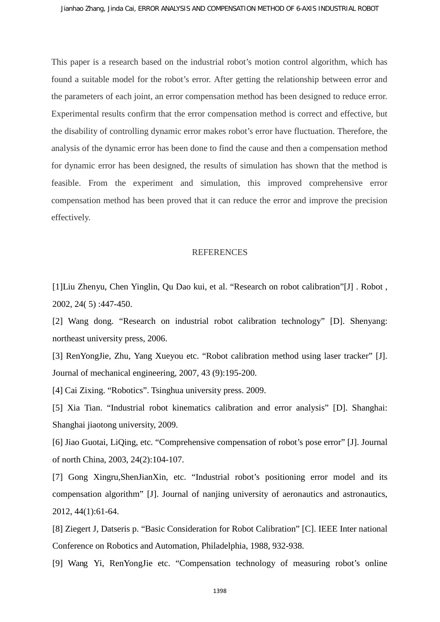This paper is a research based on the industrial robot's motion control algorithm, which has found a suitable model for the robot's error. After getting the relationship between error and the parameters of each joint, an error compensation method has been designed to reduce error. Experimental results confirm that the error compensation method is correct and effective, but the disability of controlling dynamic error makes robot's error have fluctuation. Therefore, the analysis of the dynamic error has been done to find the cause and then a compensation method for dynamic error has been designed, the results of simulation has shown that the method is feasible. From the experiment and simulation, this improved comprehensive error compensation method has been proved that it can reduce the error and improve the precision effectively.

#### REFERENCES

[1]Liu Zhenyu, Chen Yinglin, Qu Dao kui, et al. "Research on robot calibration"[J] . Robot , 2002, 24( 5) :447-450.

[2] Wang dong. "Research on industrial robot calibration technology" [D]. Shenyang: northeast university press, 2006.

[3] RenYongJie, Zhu, Yang Xueyou etc. "Robot calibration method using laser tracker" [J]. Journal of mechanical engineering, 2007, 43 (9):195-200.

[4] Cai Zixing. "Robotics". Tsinghua university press. 2009.

[5] Xia Tian. "Industrial robot kinematics calibration and error analysis" [D]. Shanghai: Shanghai jiaotong university, 2009.

[6] Jiao Guotai, LiQing, etc. "Comprehensive compensation of robot's pose error" [J]. Journal of north China, 2003, 24(2):104-107.

[7] Gong Xingru,ShenJianXin, etc. "Industrial robot's positioning error model and its compensation algorithm" [J]. Journal of nanjing university of aeronautics and astronautics, 2012, 44(1):61-64.

[8] Ziegert J, Datseris p. "Basic Consideration for Robot Calibration" [C]. IEEE Inter national Conference on Robotics and Automation, Philadelphia, 1988, 932-938.

[9] Wang Yi, RenYongJie etc. "Compensation technology of measuring robot's online